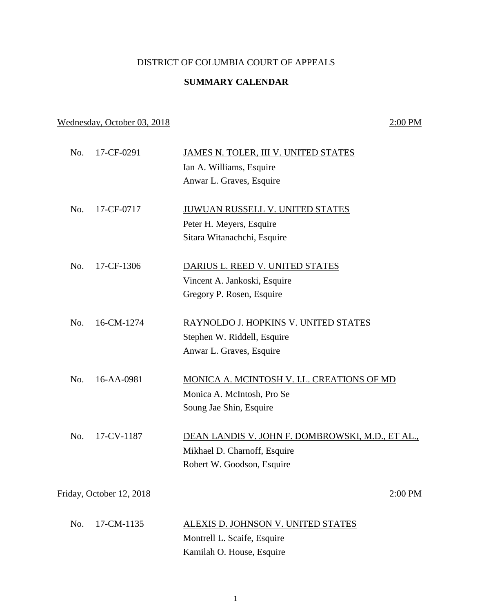## DISTRICT OF COLUMBIA COURT OF APPEALS

## **SUMMARY CALENDAR**

## Wednesday, October 03, 2018 2:00 PM

| No. | 17-CF-0291               | JAMES N. TOLER, III V. UNITED STATES             |
|-----|--------------------------|--------------------------------------------------|
|     |                          | Ian A. Williams, Esquire                         |
|     |                          | Anwar L. Graves, Esquire                         |
| No. | 17-CF-0717               | <b>JUWUAN RUSSELL V. UNITED STATES</b>           |
|     |                          | Peter H. Meyers, Esquire                         |
|     |                          | Sitara Witanachchi, Esquire                      |
| No. | 17-CF-1306               | DARIUS L. REED V. UNITED STATES                  |
|     |                          | Vincent A. Jankoski, Esquire                     |
|     |                          | Gregory P. Rosen, Esquire                        |
| No. | 16-CM-1274               | RAYNOLDO J. HOPKINS V. UNITED STATES             |
|     |                          | Stephen W. Riddell, Esquire                      |
|     |                          | Anwar L. Graves, Esquire                         |
| No. | 16-AA-0981               | MONICA A. MCINTOSH V. I.L. CREATIONS OF MD       |
|     |                          | Monica A. McIntosh, Pro Se                       |
|     |                          | Soung Jae Shin, Esquire                          |
| No. | 17-CV-1187               | DEAN LANDIS V. JOHN F. DOMBROWSKI, M.D., ET AL., |
|     |                          | Mikhael D. Charnoff, Esquire                     |
|     |                          | Robert W. Goodson, Esquire                       |
|     | Friday, October 12, 2018 | 2:00 PM                                          |
|     |                          |                                                  |
| No. | 17-CM-1135               | ALEXIS D. JOHNSON V. UNITED STATES               |
|     |                          | Montrell L. Scaife, Esquire                      |
|     |                          | Kamilah O. House, Esquire                        |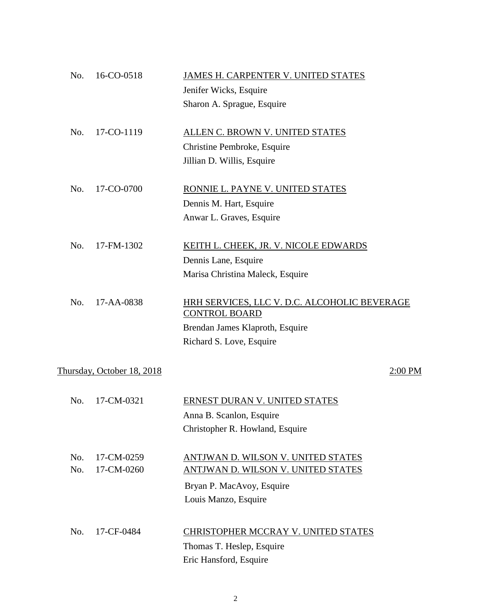| No. | 16-CO-0518                 | JAMES H. CARPENTER V. UNITED STATES                                  |
|-----|----------------------------|----------------------------------------------------------------------|
|     |                            | Jenifer Wicks, Esquire                                               |
|     |                            | Sharon A. Sprague, Esquire                                           |
|     |                            |                                                                      |
| No. | 17-CO-1119                 | ALLEN C. BROWN V. UNITED STATES                                      |
|     |                            | Christine Pembroke, Esquire                                          |
|     |                            | Jillian D. Willis, Esquire                                           |
| No. | 17-CO-0700                 | RONNIE L. PAYNE V. UNITED STATES                                     |
|     |                            | Dennis M. Hart, Esquire                                              |
|     |                            | Anwar L. Graves, Esquire                                             |
|     |                            |                                                                      |
| No. | 17-FM-1302                 | KEITH L. CHEEK, JR. V. NICOLE EDWARDS                                |
|     |                            | Dennis Lane, Esquire                                                 |
|     |                            | Marisa Christina Maleck, Esquire                                     |
|     |                            |                                                                      |
| No. | 17-AA-0838                 | HRH SERVICES, LLC V. D.C. ALCOHOLIC BEVERAGE<br><b>CONTROL BOARD</b> |
|     |                            | Brendan James Klaproth, Esquire                                      |
|     |                            | Richard S. Love, Esquire                                             |
|     |                            |                                                                      |
|     | Thursday, October 18, 2018 | $2:00$ PM                                                            |
| No. | 17-CM-0321                 | ERNEST DURAN V. UNITED STATES                                        |
|     |                            | Anna B. Scanlon, Esquire                                             |
|     |                            | Christopher R. Howland, Esquire                                      |
|     |                            |                                                                      |
| No. | 17-CM-0259                 | ANTJWAN D. WILSON V. UNITED STATES                                   |
| No. | 17-CM-0260                 | <b>ANTIWAN D. WILSON V. UNITED STATES</b>                            |
|     |                            | Bryan P. MacAvoy, Esquire                                            |
|     |                            | Louis Manzo, Esquire                                                 |
|     |                            |                                                                      |
| No. | 17-CF-0484                 | CHRISTOPHER MCCRAY V. UNITED STATES                                  |
|     |                            | Thomas T. Heslep, Esquire                                            |
|     |                            | Eric Hansford, Esquire                                               |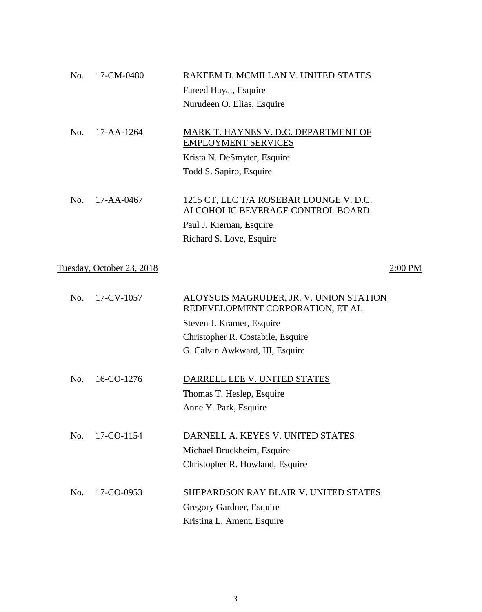| No. | 17-CM-0480                | RAKEEM D. MCMILLAN V. UNITED STATES                                                       |         |
|-----|---------------------------|-------------------------------------------------------------------------------------------|---------|
|     |                           | Fareed Hayat, Esquire                                                                     |         |
|     |                           | Nurudeen O. Elias, Esquire                                                                |         |
| No. | 17-AA-1264                | MARK T. HAYNES V. D.C. DEPARTMENT OF<br><b>EMPLOYMENT SERVICES</b>                        |         |
|     |                           | Krista N. DeSmyter, Esquire                                                               |         |
|     |                           | Todd S. Sapiro, Esquire                                                                   |         |
| No. | 17-AA-0467                | <u>1215 CT, LLC T/A ROSEBAR LOUNGE V. D.C.</u><br><b>ALCOHOLIC BEVERAGE CONTROL BOARD</b> |         |
|     |                           | Paul J. Kiernan, Esquire                                                                  |         |
|     |                           | Richard S. Love, Esquire                                                                  |         |
|     | Tuesday, October 23, 2018 |                                                                                           | 2:00 PM |
| No. | 17-CV-1057                | ALOYSUIS MAGRUDER, JR. V. UNION STATION<br>REDEVELOPMENT CORPORATION, ET AL               |         |
|     |                           | Steven J. Kramer, Esquire                                                                 |         |
|     |                           | Christopher R. Costabile, Esquire                                                         |         |
|     |                           | G. Calvin Awkward, III, Esquire                                                           |         |
| No. | 16-CO-1276                | DARRELL LEE V. UNITED STATES                                                              |         |
|     |                           | Thomas T. Heslep, Esquire                                                                 |         |
|     |                           | Anne Y. Park, Esquire                                                                     |         |
| No. | 17-CO-1154                | DARNELL A. KEYES V. UNITED STATES                                                         |         |
|     |                           | Michael Bruckheim, Esquire                                                                |         |
|     |                           | Christopher R. Howland, Esquire                                                           |         |
| No. | 17-CO-0953                | SHEPARDSON RAY BLAIR V. UNITED STATES                                                     |         |
|     |                           | Gregory Gardner, Esquire                                                                  |         |
|     |                           | Kristina L. Ament, Esquire                                                                |         |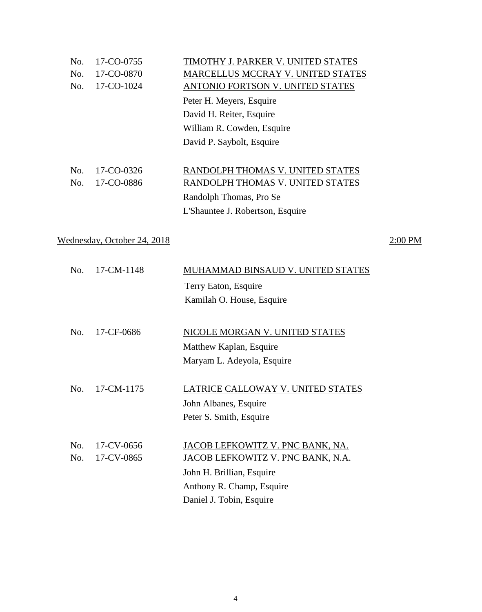| No. | 17-CO-0755 | TIMOTHY J. PARKER V. UNITED STATES |
|-----|------------|------------------------------------|
| No. | 17-CO-0870 | MARCELLUS MCCRAY V. UNITED STATES  |
| No. | 17-CO-1024 | ANTONIO FORTSON V. UNITED STATES   |
|     |            | Peter H. Meyers, Esquire           |
|     |            | David H. Reiter, Esquire           |
|     |            | William R. Cowden, Esquire         |
|     |            | David P. Saybolt, Esquire          |
|     |            |                                    |
| No. | 17-CO-0326 | RANDOLPH THOMAS V. UNITED STATES   |
| No. | 17-CO-0886 | RANDOLPH THOMAS V. UNITED STATES   |
|     |            | Randolph Thomas, Pro Se            |
|     |            | L'Shauntee J. Robertson, Esquire   |
|     |            |                                    |
|     |            |                                    |

Wednesday, October 24, 2018 2:00 PM

| No.        | 17-CM-1148               | MUHAMMAD BINSAUD V. UNITED STATES<br>Terry Eaton, Esquire<br>Kamilah O. House, Esquire                                                                      |
|------------|--------------------------|-------------------------------------------------------------------------------------------------------------------------------------------------------------|
| No.        | 17-CF-0686               | NICOLE MORGAN V. UNITED STATES<br>Matthew Kaplan, Esquire<br>Maryam L. Adeyola, Esquire                                                                     |
| No.        | 17-CM-1175               | LATRICE CALLOWAY V. UNITED STATES<br>John Albanes, Esquire<br>Peter S. Smith, Esquire                                                                       |
| No.<br>No. | 17-CV-0656<br>17-CV-0865 | JACOB LEFKOWITZ V. PNC BANK, NA.<br>JACOB LEFKOWITZ V. PNC BANK, N.A.<br>John H. Brillian, Esquire<br>Anthony R. Champ, Esquire<br>Daniel J. Tobin, Esquire |